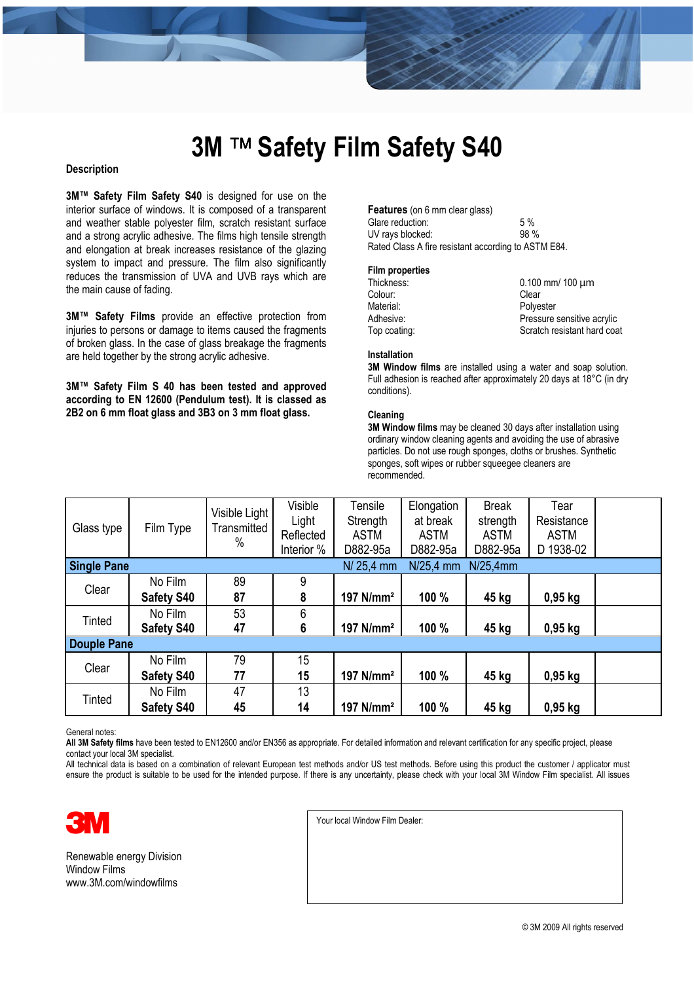### **3M ™ Safety Film Safety S40**

#### **Description**

**3M™ Safety Film Safety S40** is designed for use on the interior surface of windows. It is composed of a transparent and weather stable polyester film, scratch resistant surface and a strong acrylic adhesive. The films high tensile strength and elongation at break increases resistance of the glazing system to impact and pressure. The film also significantly reduces the transmission of UVA and UVB rays which are the main cause of fading.

**3M™ Safety Films** provide an effective protection from injuries to persons or damage to items caused the fragments of broken glass. In the case of glass breakage the fragments are held together by the strong acrylic adhesive.

**3M™ Safety Film S 40 has been tested and approved according to EN 12600 (Pendulum test). It is classed as 2B2 on 6 mm float glass and 3B3 on 3 mm float glass.** 

#### **Features** (on 6 mm clear glass) Glare reduction: 5 %<br>UV rays blocked: 98 % UV rays blocked: Rated Class A fire resistant according to ASTM E84.

#### **Film properties**

| Thickness:   | $0.100$ mm/ 100 $\mu$ m     |
|--------------|-----------------------------|
| Colour:      | Clear                       |
| Material:    | Polvester                   |
| Adhesive:    | Pressure sensitive acrylic  |
| Top coating: | Scratch resistant hard coat |

#### **Installation**

**3M Window films** are installed using a water and soap solution. Full adhesion is reached after approximately 20 days at 18°C (in dry conditions).

#### **Cleaning**

**3M Window films** may be cleaned 30 days after installation using ordinary window cleaning agents and avoiding the use of abrasive particles. Do not use rough sponges, cloths or brushes. Synthetic sponges, soft wipes or rubber squeegee cleaners are recommended.

| Glass type         | Film Type         | Visible Light<br>Transmitted<br>$\%$ | Visible<br>Light<br>Reflected<br>Interior % | Tensile<br>Strength<br><b>ASTM</b><br>D882-95a | Elongation<br>at break<br><b>ASTM</b><br>D882-95a | <b>Break</b><br>strength<br><b>ASTM</b><br>D882-95a | Tear<br>Resistance<br><b>ASTM</b><br>D 1938-02 |  |
|--------------------|-------------------|--------------------------------------|---------------------------------------------|------------------------------------------------|---------------------------------------------------|-----------------------------------------------------|------------------------------------------------|--|
| <b>Single Pane</b> |                   |                                      |                                             | $N/25,4$ mm                                    | $N/25,4$ mm                                       | N/25.4mm                                            |                                                |  |
| Clear              | No Film           | 89                                   | 9                                           |                                                |                                                   |                                                     |                                                |  |
|                    | <b>Safety S40</b> | 87                                   | 8                                           | 197 N/mm <sup>2</sup>                          | 100 %                                             | 45 kg                                               | $0,95$ kg                                      |  |
| Tinted             | No Film           | 53                                   | 6                                           |                                                |                                                   |                                                     |                                                |  |
|                    | <b>Safety S40</b> | 47                                   | $6\phantom{1}$                              | 197 N/mm <sup>2</sup>                          | 100 %                                             | 45 kg                                               | $0,95$ kg                                      |  |
| <b>Douple Pane</b> |                   |                                      |                                             |                                                |                                                   |                                                     |                                                |  |
| Clear              | No Film           | 79                                   | 15                                          |                                                |                                                   |                                                     |                                                |  |
|                    | <b>Safety S40</b> | 77                                   | 15                                          | 197 N/mm <sup>2</sup>                          | 100 %                                             | 45 kg                                               | $0,95$ kg                                      |  |
| Tinted             | No Film           | 47                                   | 13                                          |                                                |                                                   |                                                     |                                                |  |
|                    | <b>Safety S40</b> | 45                                   | 14                                          | 197 N/mm <sup>2</sup>                          | 100 %                                             | 45 kg                                               | $0,95$ kg                                      |  |

General notes:

**All 3M Safety films** have been tested to EN12600 and/or EN356 as appropriate. For detailed information and relevant certification for any specific project, please contact your local 3M specialist.

All technical data is based on a combination of relevant European test methods and/or US test methods. Before using this product the customer / applicator must ensure the product is suitable to be used for the intended purpose. If there is any uncertainty, please check with your local 3M Window Film specialist. All issues



Renewable energy Division Window Films www.3M.com/windowfilms

Your local Window Film Dealer: